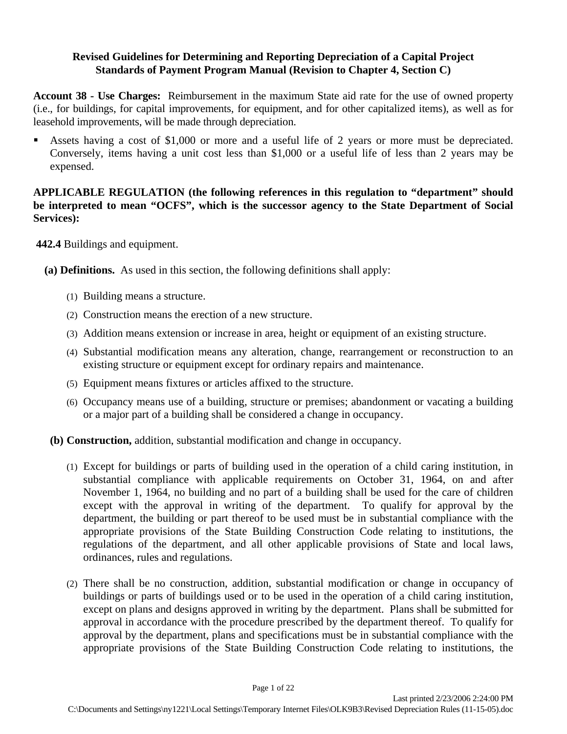#### **Revised Guidelines for Determining and Reporting Depreciation of a Capital Project Standards of Payment Program Manual (Revision to Chapter 4, Section C)**

**Account 38 - Use Charges:** Reimbursement in the maximum State aid rate for the use of owned property (i.e., for buildings, for capital improvements, for equipment, and for other capitalized items), as well as for leasehold improvements, will be made through depreciation.

 Assets having a cost of \$1,000 or more and a useful life of 2 years or more must be depreciated. Conversely, items having a unit cost less than \$1,000 or a useful life of less than 2 years may be expensed.

### **APPLICABLE REGULATION (the following references in this regulation to "department" should be interpreted to mean "OCFS", which is the successor agency to the State Department of Social Services):**

 **442.4** Buildings and equipment.

- **(a) Definitions.** As used in this section, the following definitions shall apply:
	- (1) Building means a structure.
	- (2) Construction means the erection of a new structure.
	- (3) Addition means extension or increase in area, height or equipment of an existing structure.
	- (4) Substantial modification means any alteration, change, rearrangement or reconstruction to an existing structure or equipment except for ordinary repairs and maintenance.
	- (5) Equipment means fixtures or articles affixed to the structure.
	- (6) Occupancy means use of a building, structure or premises; abandonment or vacating a building or a major part of a building shall be considered a change in occupancy.
- **(b) Construction,** addition, substantial modification and change in occupancy.
	- (1) Except for buildings or parts of building used in the operation of a child caring institution, in substantial compliance with applicable requirements on October 31, 1964, on and after November 1, 1964, no building and no part of a building shall be used for the care of children except with the approval in writing of the department. To qualify for approval by the department, the building or part thereof to be used must be in substantial compliance with the appropriate provisions of the State Building Construction Code relating to institutions, the regulations of the department, and all other applicable provisions of State and local laws, ordinances, rules and regulations.
	- (2) There shall be no construction, addition, substantial modification or change in occupancy of buildings or parts of buildings used or to be used in the operation of a child caring institution, except on plans and designs approved in writing by the department. Plans shall be submitted for approval in accordance with the procedure prescribed by the department thereof. To qualify for approval by the department, plans and specifications must be in substantial compliance with the appropriate provisions of the State Building Construction Code relating to institutions, the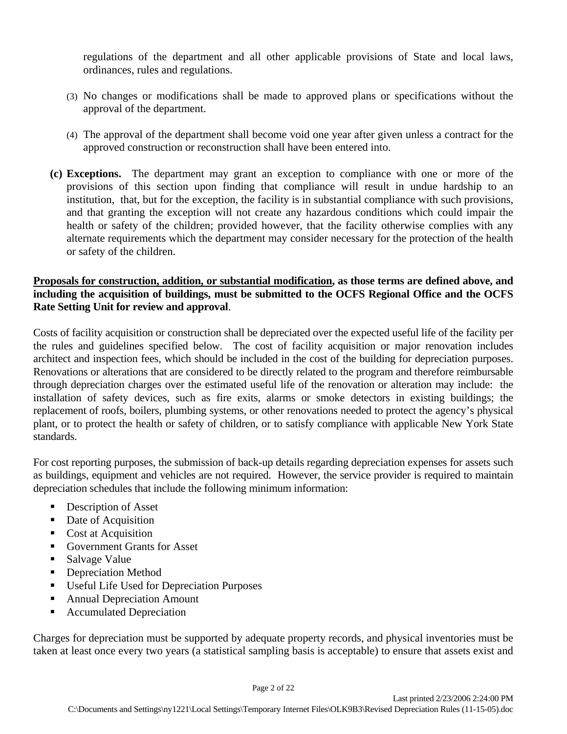regulations of the department and all other applicable provisions of State and local laws, ordinances, rules and regulations.

- (3) No changes or modifications shall be made to approved plans or specifications without the approval of the department.
- (4) The approval of the department shall become void one year after given unless a contract for the approved construction or reconstruction shall have been entered into.
- **(c) Exceptions.** The department may grant an exception to compliance with one or more of the provisions of this section upon finding that compliance will result in undue hardship to an institution, that, but for the exception, the facility is in substantial compliance with such provisions, and that granting the exception will not create any hazardous conditions which could impair the health or safety of the children; provided however, that the facility otherwise complies with any alternate requirements which the department may consider necessary for the protection of the health or safety of the children.

#### **Proposals for construction, addition, or substantial modification, as those terms are defined above, and including the acquisition of buildings, must be submitted to the OCFS Regional Office and the OCFS Rate Setting Unit for review and approval**.

Costs of facility acquisition or construction shall be depreciated over the expected useful life of the facility per the rules and guidelines specified below. The cost of facility acquisition or major renovation includes architect and inspection fees, which should be included in the cost of the building for depreciation purposes. Renovations or alterations that are considered to be directly related to the program and therefore reimbursable through depreciation charges over the estimated useful life of the renovation or alteration may include: the installation of safety devices, such as fire exits, alarms or smoke detectors in existing buildings; the replacement of roofs, boilers, plumbing systems, or other renovations needed to protect the agency's physical plant, or to protect the health or safety of children, or to satisfy compliance with applicable New York State standards.

For cost reporting purposes, the submission of back-up details regarding depreciation expenses for assets such as buildings, equipment and vehicles are not required. However, the service provider is required to maintain depreciation schedules that include the following minimum information:

- Description of Asset
- Date of Acquisition
- Cost at Acquisition
- Government Grants for Asset
- **Salvage Value**
- **•** Depreciation Method
- Useful Life Used for Depreciation Purposes
- Annual Depreciation Amount
- Accumulated Depreciation

Charges for depreciation must be supported by adequate property records, and physical inventories must be taken at least once every two years (a statistical sampling basis is acceptable) to ensure that assets exist and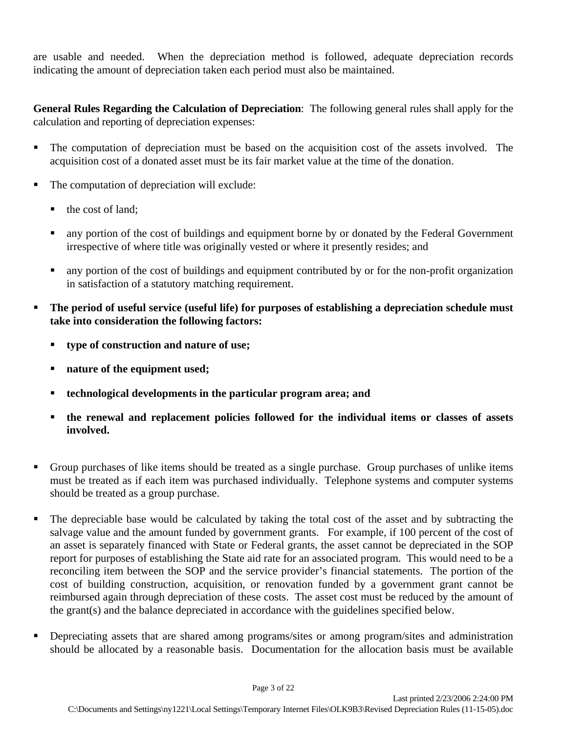are usable and needed. When the depreciation method is followed, adequate depreciation records indicating the amount of depreciation taken each period must also be maintained.

**General Rules Regarding the Calculation of Depreciation**: The following general rules shall apply for the calculation and reporting of depreciation expenses:

- The computation of depreciation must be based on the acquisition cost of the assets involved. The acquisition cost of a donated asset must be its fair market value at the time of the donation.
- The computation of depreciation will exclude:
	- the cost of land;
	- any portion of the cost of buildings and equipment borne by or donated by the Federal Government irrespective of where title was originally vested or where it presently resides; and
	- any portion of the cost of buildings and equipment contributed by or for the non-profit organization in satisfaction of a statutory matching requirement.
- **The period of useful service (useful life) for purposes of establishing a depreciation schedule must take into consideration the following factors:** 
	- **type of construction and nature of use;**
	- **nature of the equipment used;**
	- **technological developments in the particular program area; and**
	- **the renewal and replacement policies followed for the individual items or classes of assets involved.**
- Group purchases of like items should be treated as a single purchase. Group purchases of unlike items must be treated as if each item was purchased individually. Telephone systems and computer systems should be treated as a group purchase.
- The depreciable base would be calculated by taking the total cost of the asset and by subtracting the salvage value and the amount funded by government grants. For example, if 100 percent of the cost of an asset is separately financed with State or Federal grants, the asset cannot be depreciated in the SOP report for purposes of establishing the State aid rate for an associated program. This would need to be a reconciling item between the SOP and the service provider's financial statements. The portion of the cost of building construction, acquisition, or renovation funded by a government grant cannot be reimbursed again through depreciation of these costs. The asset cost must be reduced by the amount of the grant(s) and the balance depreciated in accordance with the guidelines specified below.
- **•** Depreciating assets that are shared among programs/sites or among program/sites and administration should be allocated by a reasonable basis. Documentation for the allocation basis must be available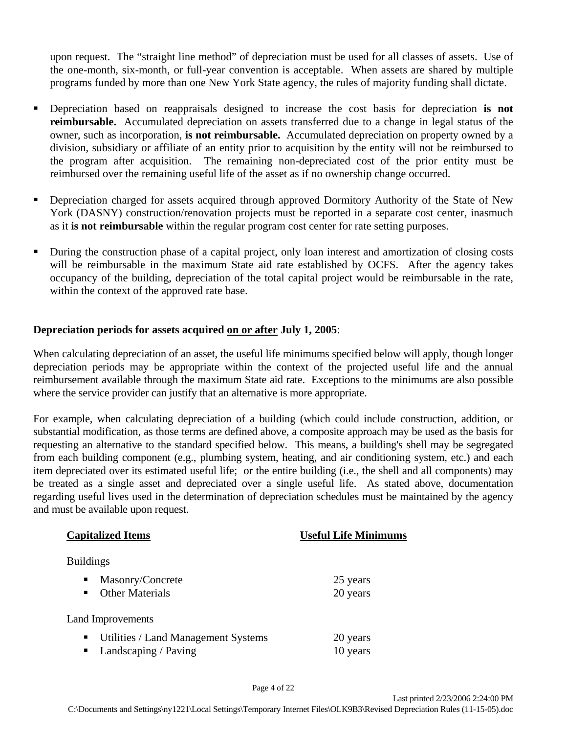upon request. The "straight line method" of depreciation must be used for all classes of assets. Use of the one-month, six-month, or full-year convention is acceptable. When assets are shared by multiple programs funded by more than one New York State agency, the rules of majority funding shall dictate.

- Depreciation based on reappraisals designed to increase the cost basis for depreciation **is not reimbursable.** Accumulated depreciation on assets transferred due to a change in legal status of the owner, such as incorporation, **is not reimbursable.** Accumulated depreciation on property owned by a division, subsidiary or affiliate of an entity prior to acquisition by the entity will not be reimbursed to the program after acquisition. The remaining non-depreciated cost of the prior entity must be reimbursed over the remaining useful life of the asset as if no ownership change occurred.
- **Perfect** Depreciation charged for assets acquired through approved Dormitory Authority of the State of New York (DASNY) construction/renovation projects must be reported in a separate cost center, inasmuch as it **is not reimbursable** within the regular program cost center for rate setting purposes.
- During the construction phase of a capital project, only loan interest and amortization of closing costs will be reimbursable in the maximum State aid rate established by OCFS. After the agency takes occupancy of the building, depreciation of the total capital project would be reimbursable in the rate, within the context of the approved rate base.

#### **Depreciation periods for assets acquired on or after July 1, 2005**:

When calculating depreciation of an asset, the useful life minimums specified below will apply, though longer depreciation periods may be appropriate within the context of the projected useful life and the annual reimbursement available through the maximum State aid rate. Exceptions to the minimums are also possible where the service provider can justify that an alternative is more appropriate.

For example, when calculating depreciation of a building (which could include construction, addition, or substantial modification, as those terms are defined above, a composite approach may be used as the basis for requesting an alternative to the standard specified below. This means, a building's shell may be segregated from each building component (e.g., plumbing system, heating, and air conditioning system, etc.) and each item depreciated over its estimated useful life; or the entire building (i.e., the shell and all components) may be treated as a single asset and depreciated over a single useful life. As stated above, documentation regarding useful lives used in the determination of depreciation schedules must be maintained by the agency and must be available upon request.

| <b>Capitalized Items</b>                 | <b>Useful Life Minimums</b> |
|------------------------------------------|-----------------------------|
| <b>Buildings</b>                         |                             |
| Masonry/Concrete<br>п                    | 25 years                    |
| <b>Other Materials</b><br>$\blacksquare$ | 20 years                    |
| <b>Land Improvements</b>                 |                             |
| Utilities / Land Management Systems<br>п | 20 years                    |
| Landscaping / Paving<br>п                | 10 years                    |
|                                          |                             |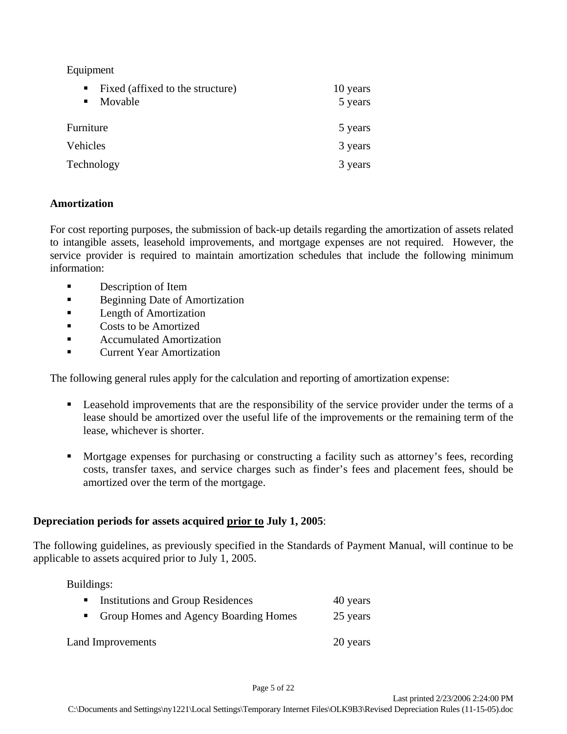Equipment

| Fixed (affixed to the structure)<br>$\blacksquare$ . | 10 years |
|------------------------------------------------------|----------|
| Movable<br>$\blacksquare$                            | 5 years  |
| Furniture                                            | 5 years  |
| Vehicles                                             | 3 years  |
| Technology                                           | 3 years  |

#### **Amortization**

For cost reporting purposes, the submission of back-up details regarding the amortization of assets related to intangible assets, leasehold improvements, and mortgage expenses are not required. However, the service provider is required to maintain amortization schedules that include the following minimum information:

- Description of Item
- **Beginning Date of Amortization**
- **Length of Amortization**
- Costs to be Amortized
- **E** Accumulated Amortization
- **Current Year Amortization**

The following general rules apply for the calculation and reporting of amortization expense:

- **Example 1** Leasehold improvements that are the responsibility of the service provider under the terms of a lease should be amortized over the useful life of the improvements or the remaining term of the lease, whichever is shorter.
- Mortgage expenses for purchasing or constructing a facility such as attorney's fees, recording costs, transfer taxes, and service charges such as finder's fees and placement fees, should be amortized over the term of the mortgage.

#### **Depreciation periods for assets acquired prior to July 1, 2005**:

The following guidelines, as previously specified in the Standards of Payment Manual, will continue to be applicable to assets acquired prior to July 1, 2005.

Buildings:

| <b>Institutions and Group Residences</b><br>. . | 40 years |
|-------------------------------------------------|----------|
| Group Homes and Agency Boarding Homes<br>. .    | 25 years |
| Land Improvements                               | 20 years |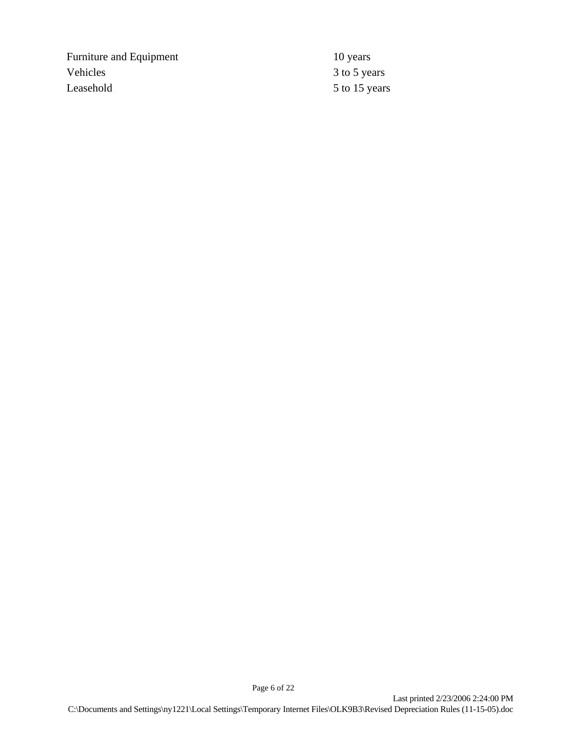Furniture and Equipment 10 years Vehicles 3 to 5 years 3 to 5 years Leasehold 5 to 15 years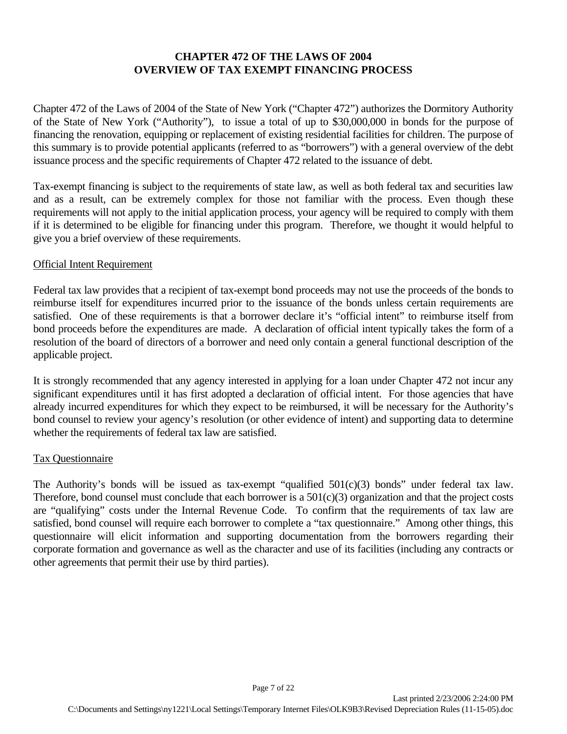### **CHAPTER 472 OF THE LAWS OF 2004 OVERVIEW OF TAX EXEMPT FINANCING PROCESS**

Chapter 472 of the Laws of 2004 of the State of New York ("Chapter 472") authorizes the Dormitory Authority of the State of New York ("Authority"), to issue a total of up to \$30,000,000 in bonds for the purpose of financing the renovation, equipping or replacement of existing residential facilities for children. The purpose of this summary is to provide potential applicants (referred to as "borrowers") with a general overview of the debt issuance process and the specific requirements of Chapter 472 related to the issuance of debt.

Tax-exempt financing is subject to the requirements of state law, as well as both federal tax and securities law and as a result, can be extremely complex for those not familiar with the process. Even though these requirements will not apply to the initial application process, your agency will be required to comply with them if it is determined to be eligible for financing under this program. Therefore, we thought it would helpful to give you a brief overview of these requirements.

#### Official Intent Requirement

Federal tax law provides that a recipient of tax-exempt bond proceeds may not use the proceeds of the bonds to reimburse itself for expenditures incurred prior to the issuance of the bonds unless certain requirements are satisfied. One of these requirements is that a borrower declare it's "official intent" to reimburse itself from bond proceeds before the expenditures are made. A declaration of official intent typically takes the form of a resolution of the board of directors of a borrower and need only contain a general functional description of the applicable project.

It is strongly recommended that any agency interested in applying for a loan under Chapter 472 not incur any significant expenditures until it has first adopted a declaration of official intent. For those agencies that have already incurred expenditures for which they expect to be reimbursed, it will be necessary for the Authority's bond counsel to review your agency's resolution (or other evidence of intent) and supporting data to determine whether the requirements of federal tax law are satisfied.

#### Tax Questionnaire

The Authority's bonds will be issued as tax-exempt "qualified 501(c)(3) bonds" under federal tax law. Therefore, bond counsel must conclude that each borrower is a  $501(c)(3)$  organization and that the project costs are "qualifying" costs under the Internal Revenue Code. To confirm that the requirements of tax law are satisfied, bond counsel will require each borrower to complete a "tax questionnaire." Among other things, this questionnaire will elicit information and supporting documentation from the borrowers regarding their corporate formation and governance as well as the character and use of its facilities (including any contracts or other agreements that permit their use by third parties).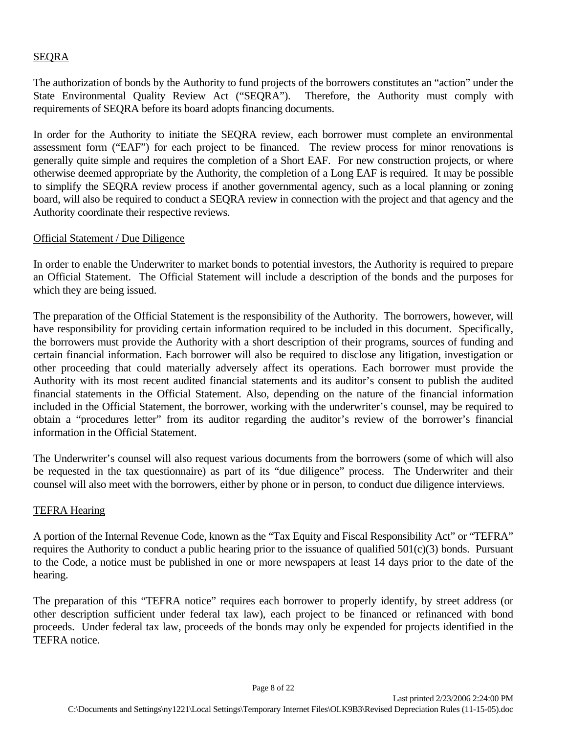#### SEQRA

The authorization of bonds by the Authority to fund projects of the borrowers constitutes an "action" under the State Environmental Quality Review Act ("SEQRA"). Therefore, the Authority must comply with requirements of SEQRA before its board adopts financing documents.

In order for the Authority to initiate the SEQRA review, each borrower must complete an environmental assessment form ("EAF") for each project to be financed. The review process for minor renovations is generally quite simple and requires the completion of a Short EAF. For new construction projects, or where otherwise deemed appropriate by the Authority, the completion of a Long EAF is required. It may be possible to simplify the SEQRA review process if another governmental agency, such as a local planning or zoning board, will also be required to conduct a SEQRA review in connection with the project and that agency and the Authority coordinate their respective reviews.

#### Official Statement / Due Diligence

In order to enable the Underwriter to market bonds to potential investors, the Authority is required to prepare an Official Statement. The Official Statement will include a description of the bonds and the purposes for which they are being issued.

The preparation of the Official Statement is the responsibility of the Authority. The borrowers, however, will have responsibility for providing certain information required to be included in this document. Specifically, the borrowers must provide the Authority with a short description of their programs, sources of funding and certain financial information. Each borrower will also be required to disclose any litigation, investigation or other proceeding that could materially adversely affect its operations. Each borrower must provide the Authority with its most recent audited financial statements and its auditor's consent to publish the audited financial statements in the Official Statement. Also, depending on the nature of the financial information included in the Official Statement, the borrower, working with the underwriter's counsel, may be required to obtain a "procedures letter" from its auditor regarding the auditor's review of the borrower's financial information in the Official Statement.

The Underwriter's counsel will also request various documents from the borrowers (some of which will also be requested in the tax questionnaire) as part of its "due diligence" process. The Underwriter and their counsel will also meet with the borrowers, either by phone or in person, to conduct due diligence interviews.

#### TEFRA Hearing

A portion of the Internal Revenue Code, known as the "Tax Equity and Fiscal Responsibility Act" or "TEFRA" requires the Authority to conduct a public hearing prior to the issuance of qualified 501(c)(3) bonds. Pursuant to the Code, a notice must be published in one or more newspapers at least 14 days prior to the date of the hearing.

The preparation of this "TEFRA notice" requires each borrower to properly identify, by street address (or other description sufficient under federal tax law), each project to be financed or refinanced with bond proceeds. Under federal tax law, proceeds of the bonds may only be expended for projects identified in the TEFRA notice.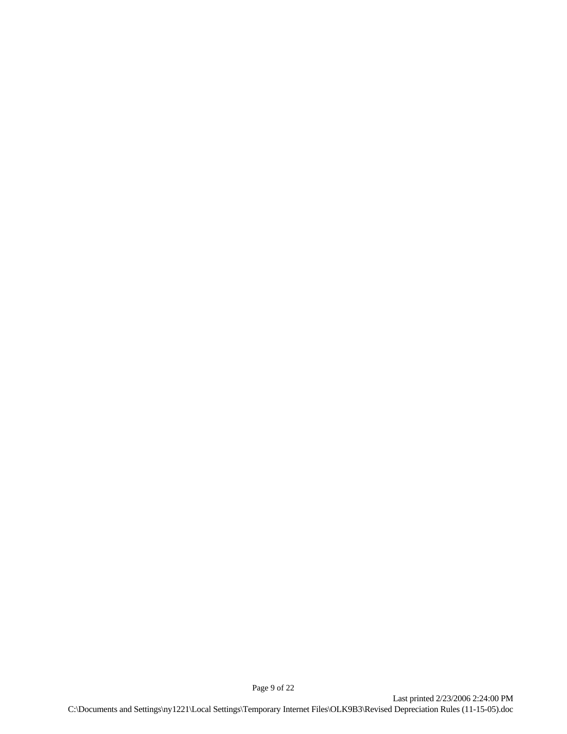Page 9 of 22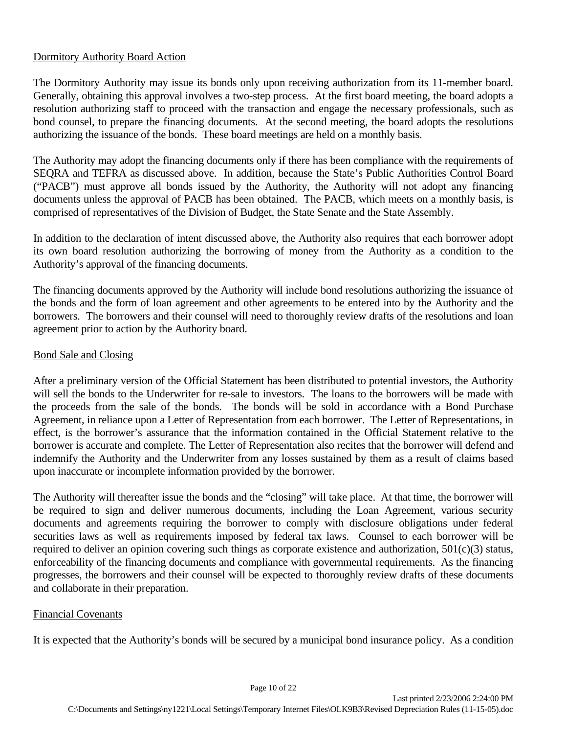#### Dormitory Authority Board Action

The Dormitory Authority may issue its bonds only upon receiving authorization from its 11-member board. Generally, obtaining this approval involves a two-step process. At the first board meeting, the board adopts a resolution authorizing staff to proceed with the transaction and engage the necessary professionals, such as bond counsel, to prepare the financing documents. At the second meeting, the board adopts the resolutions authorizing the issuance of the bonds. These board meetings are held on a monthly basis.

The Authority may adopt the financing documents only if there has been compliance with the requirements of SEQRA and TEFRA as discussed above. In addition, because the State's Public Authorities Control Board ("PACB") must approve all bonds issued by the Authority, the Authority will not adopt any financing documents unless the approval of PACB has been obtained. The PACB, which meets on a monthly basis, is comprised of representatives of the Division of Budget, the State Senate and the State Assembly.

In addition to the declaration of intent discussed above, the Authority also requires that each borrower adopt its own board resolution authorizing the borrowing of money from the Authority as a condition to the Authority's approval of the financing documents.

The financing documents approved by the Authority will include bond resolutions authorizing the issuance of the bonds and the form of loan agreement and other agreements to be entered into by the Authority and the borrowers. The borrowers and their counsel will need to thoroughly review drafts of the resolutions and loan agreement prior to action by the Authority board.

#### Bond Sale and Closing

After a preliminary version of the Official Statement has been distributed to potential investors, the Authority will sell the bonds to the Underwriter for re-sale to investors. The loans to the borrowers will be made with the proceeds from the sale of the bonds. The bonds will be sold in accordance with a Bond Purchase Agreement, in reliance upon a Letter of Representation from each borrower. The Letter of Representations, in effect, is the borrower's assurance that the information contained in the Official Statement relative to the borrower is accurate and complete. The Letter of Representation also recites that the borrower will defend and indemnify the Authority and the Underwriter from any losses sustained by them as a result of claims based upon inaccurate or incomplete information provided by the borrower.

The Authority will thereafter issue the bonds and the "closing" will take place. At that time, the borrower will be required to sign and deliver numerous documents, including the Loan Agreement, various security documents and agreements requiring the borrower to comply with disclosure obligations under federal securities laws as well as requirements imposed by federal tax laws. Counsel to each borrower will be required to deliver an opinion covering such things as corporate existence and authorization, 501(c)(3) status, enforceability of the financing documents and compliance with governmental requirements. As the financing progresses, the borrowers and their counsel will be expected to thoroughly review drafts of these documents and collaborate in their preparation.

#### Financial Covenants

It is expected that the Authority's bonds will be secured by a municipal bond insurance policy. As a condition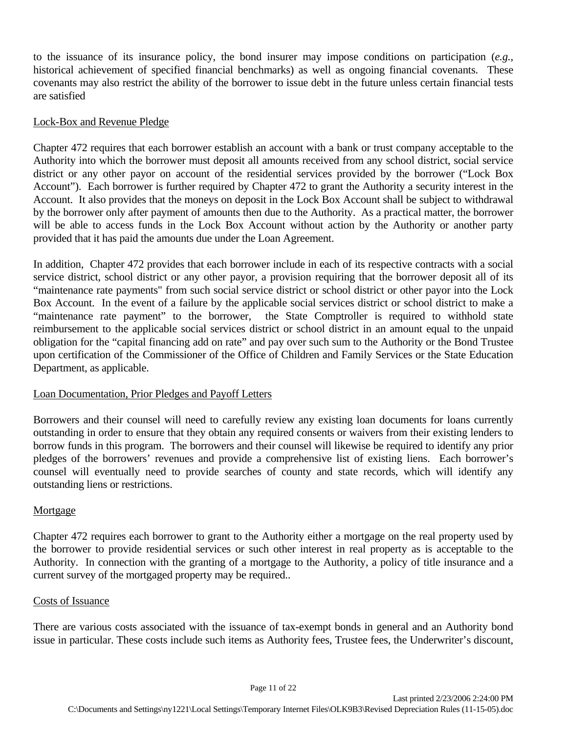to the issuance of its insurance policy, the bond insurer may impose conditions on participation (*e.g.*, historical achievement of specified financial benchmarks) as well as ongoing financial covenants. These covenants may also restrict the ability of the borrower to issue debt in the future unless certain financial tests are satisfied

#### Lock-Box and Revenue Pledge

Chapter 472 requires that each borrower establish an account with a bank or trust company acceptable to the Authority into which the borrower must deposit all amounts received from any school district, social service district or any other payor on account of the residential services provided by the borrower ("Lock Box Account"). Each borrower is further required by Chapter 472 to grant the Authority a security interest in the Account. It also provides that the moneys on deposit in the Lock Box Account shall be subject to withdrawal by the borrower only after payment of amounts then due to the Authority. As a practical matter, the borrower will be able to access funds in the Lock Box Account without action by the Authority or another party provided that it has paid the amounts due under the Loan Agreement.

In addition, Chapter 472 provides that each borrower include in each of its respective contracts with a social service district, school district or any other payor, a provision requiring that the borrower deposit all of its "maintenance rate payments" from such social service district or school district or other payor into the Lock Box Account. In the event of a failure by the applicable social services district or school district to make a "maintenance rate payment" to the borrower, the State Comptroller is required to withhold state reimbursement to the applicable social services district or school district in an amount equal to the unpaid obligation for the "capital financing add on rate" and pay over such sum to the Authority or the Bond Trustee upon certification of the Commissioner of the Office of Children and Family Services or the State Education Department, as applicable.

#### Loan Documentation, Prior Pledges and Payoff Letters

Borrowers and their counsel will need to carefully review any existing loan documents for loans currently outstanding in order to ensure that they obtain any required consents or waivers from their existing lenders to borrow funds in this program. The borrowers and their counsel will likewise be required to identify any prior pledges of the borrowers' revenues and provide a comprehensive list of existing liens. Each borrower's counsel will eventually need to provide searches of county and state records, which will identify any outstanding liens or restrictions.

#### Mortgage

Chapter 472 requires each borrower to grant to the Authority either a mortgage on the real property used by the borrower to provide residential services or such other interest in real property as is acceptable to the Authority. In connection with the granting of a mortgage to the Authority, a policy of title insurance and a current survey of the mortgaged property may be required..

#### Costs of Issuance

There are various costs associated with the issuance of tax-exempt bonds in general and an Authority bond issue in particular. These costs include such items as Authority fees, Trustee fees, the Underwriter's discount,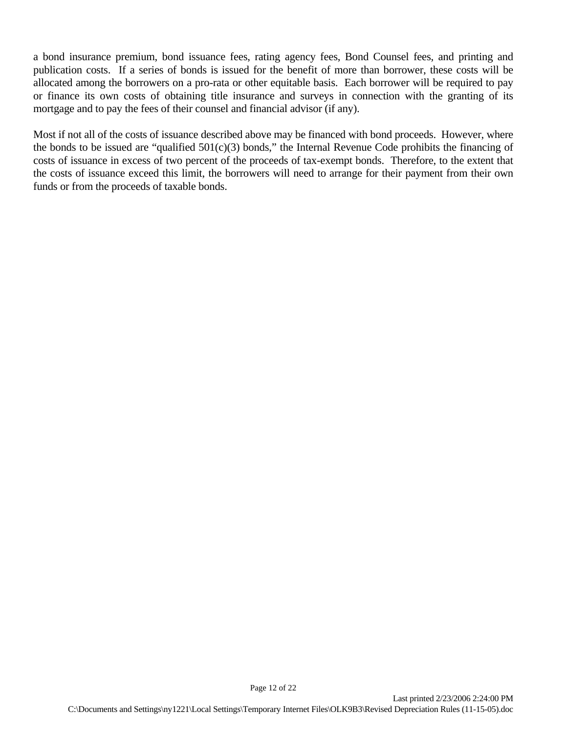a bond insurance premium, bond issuance fees, rating agency fees, Bond Counsel fees, and printing and publication costs. If a series of bonds is issued for the benefit of more than borrower, these costs will be allocated among the borrowers on a pro-rata or other equitable basis. Each borrower will be required to pay or finance its own costs of obtaining title insurance and surveys in connection with the granting of its mortgage and to pay the fees of their counsel and financial advisor (if any).

Most if not all of the costs of issuance described above may be financed with bond proceeds. However, where the bonds to be issued are "qualified  $501(c)(3)$  bonds," the Internal Revenue Code prohibits the financing of costs of issuance in excess of two percent of the proceeds of tax-exempt bonds. Therefore, to the extent that the costs of issuance exceed this limit, the borrowers will need to arrange for their payment from their own funds or from the proceeds of taxable bonds.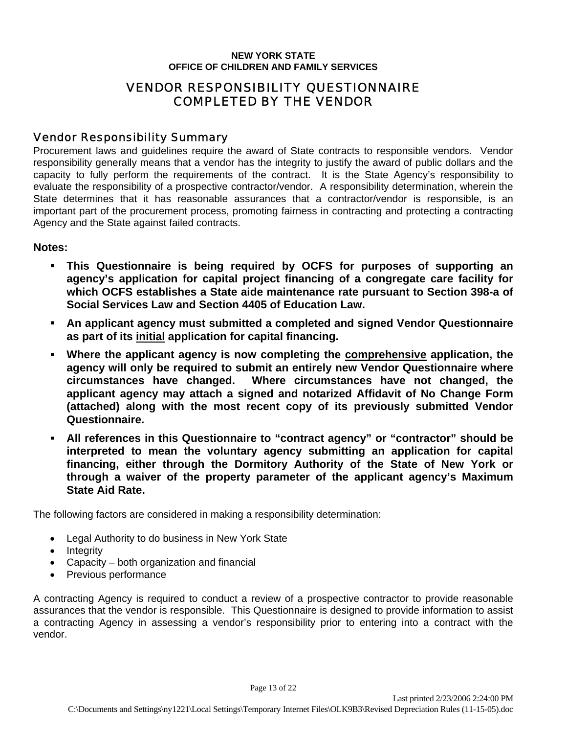#### **NEW YORK STATE OFFICE OF CHILDREN AND FAMILY SERVICES**

## VENDOR RESPONSIBILITY QUESTIONNAIRE COMPLETED BY THE VENDOR

#### Vendor Responsibility Summary

Procurement laws and guidelines require the award of State contracts to responsible vendors. Vendor responsibility generally means that a vendor has the integrity to justify the award of public dollars and the capacity to fully perform the requirements of the contract. It is the State Agency's responsibility to evaluate the responsibility of a prospective contractor/vendor. A responsibility determination, wherein the State determines that it has reasonable assurances that a contractor/vendor is responsible, is an important part of the procurement process, promoting fairness in contracting and protecting a contracting Agency and the State against failed contracts.

#### **Notes:**

- **This Questionnaire is being required by OCFS for purposes of supporting an agency's application for capital project financing of a congregate care facility for which OCFS establishes a State aide maintenance rate pursuant to Section 398-a of Social Services Law and Section 4405 of Education Law.**
- **An applicant agency must submitted a completed and signed Vendor Questionnaire as part of its initial application for capital financing.**
- **Where the applicant agency is now completing the comprehensive application, the agency will only be required to submit an entirely new Vendor Questionnaire where circumstances have changed. Where circumstances have not changed, the applicant agency may attach a signed and notarized Affidavit of No Change Form (attached) along with the most recent copy of its previously submitted Vendor Questionnaire.**
- **All references in this Questionnaire to "contract agency" or "contractor" should be interpreted to mean the voluntary agency submitting an application for capital financing, either through the Dormitory Authority of the State of New York or through a waiver of the property parameter of the applicant agency's Maximum State Aid Rate.**

The following factors are considered in making a responsibility determination:

- Legal Authority to do business in New York State
- Integrity
- Capacity both organization and financial
- Previous performance

A contracting Agency is required to conduct a review of a prospective contractor to provide reasonable assurances that the vendor is responsible. This Questionnaire is designed to provide information to assist a contracting Agency in assessing a vendor's responsibility prior to entering into a contract with the vendor.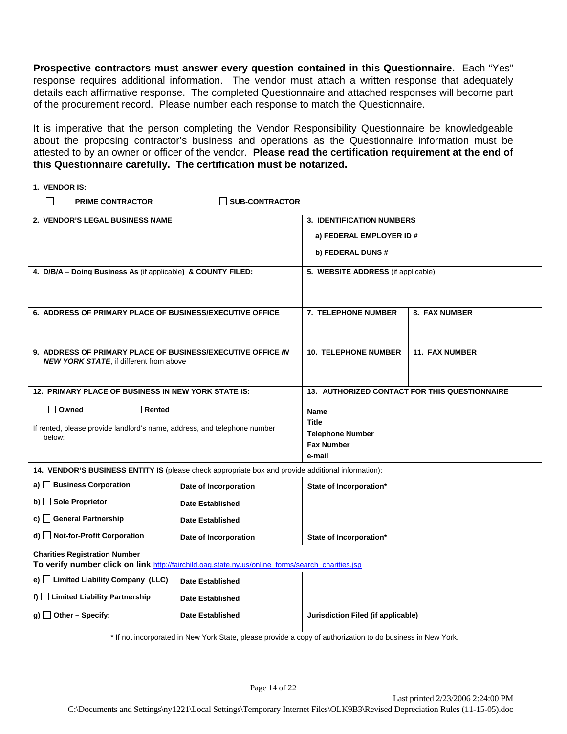**Prospective contractors must answer every question contained in this Questionnaire.** Each "Yes" response requires additional information. The vendor must attach a written response that adequately details each affirmative response. The completed Questionnaire and attached responses will become part of the procurement record. Please number each response to match the Questionnaire.

It is imperative that the person completing the Vendor Responsibility Questionnaire be knowledgeable about the proposing contractor's business and operations as the Questionnaire information must be attested to by an owner or officer of the vendor. **Please read the certification requirement at the end of this Questionnaire carefully. The certification must be notarized.** 

| 1. VENDOR IS:                                                                                                                             |                         |                                    |                                               |  |
|-------------------------------------------------------------------------------------------------------------------------------------------|-------------------------|------------------------------------|-----------------------------------------------|--|
| П<br><b>PRIME CONTRACTOR</b>                                                                                                              | SUB-CONTRACTOR          |                                    |                                               |  |
| 2. VENDOR'S LEGAL BUSINESS NAME                                                                                                           |                         | <b>3. IDENTIFICATION NUMBERS</b>   |                                               |  |
|                                                                                                                                           |                         | a) FEDERAL EMPLOYER ID #           |                                               |  |
|                                                                                                                                           |                         | b) FEDERAL DUNS #                  |                                               |  |
| 4. D/B/A - Doing Business As (if applicable) & COUNTY FILED:                                                                              |                         | 5. WEBSITE ADDRESS (if applicable) |                                               |  |
|                                                                                                                                           |                         |                                    |                                               |  |
|                                                                                                                                           |                         |                                    |                                               |  |
| 6. ADDRESS OF PRIMARY PLACE OF BUSINESS/EXECUTIVE OFFICE                                                                                  |                         | 7. TELEPHONE NUMBER                | 8. FAX NUMBER                                 |  |
|                                                                                                                                           |                         |                                    |                                               |  |
| 9. ADDRESS OF PRIMARY PLACE OF BUSINESS/EXECUTIVE OFFICE IN                                                                               |                         | <b>10. TELEPHONE NUMBER</b>        | <b>11. FAX NUMBER</b>                         |  |
| <b>NEW YORK STATE, if different from above</b>                                                                                            |                         |                                    |                                               |  |
| 12. PRIMARY PLACE OF BUSINESS IN NEW YORK STATE IS:                                                                                       |                         |                                    | 13. AUTHORIZED CONTACT FOR THIS QUESTIONNAIRE |  |
| Owned<br>$\Box$ Rented                                                                                                                    |                         |                                    |                                               |  |
|                                                                                                                                           |                         | <b>Name</b><br><b>Title</b>        |                                               |  |
| If rented, please provide landlord's name, address, and telephone number<br>below:                                                        |                         | <b>Telephone Number</b>            |                                               |  |
|                                                                                                                                           |                         | <b>Fax Number</b>                  | e-mail                                        |  |
| 14. VENDOR'S BUSINESS ENTITY IS (please check appropriate box and provide additional information):                                        |                         |                                    |                                               |  |
| a) □ Business Corporation                                                                                                                 | Date of Incorporation   | State of Incorporation*            |                                               |  |
| b) $\Box$ Sole Proprietor                                                                                                                 | Date Established        |                                    |                                               |  |
| c) $\Box$ General Partnership                                                                                                             | <b>Date Established</b> |                                    |                                               |  |
| d) Not-for-Profit Corporation                                                                                                             | Date of Incorporation   | State of Incorporation*            |                                               |  |
| <b>Charities Registration Number</b><br>To verify number click on link http://fairchild.oag.state.ny.us/online_forms/search_charities.jsp |                         |                                    |                                               |  |
| e) I Limited Liability Company (LLC)<br><b>Date Established</b>                                                                           |                         |                                    |                                               |  |
| f) I Limited Liability Partnership<br><b>Date Established</b>                                                                             |                         |                                    |                                               |  |
| $g)$ Other - Specify:<br><b>Date Established</b><br>Jurisdiction Filed (if applicable)                                                    |                         |                                    |                                               |  |
| * If not incorporated in New York State, please provide a copy of authorization to do business in New York.                               |                         |                                    |                                               |  |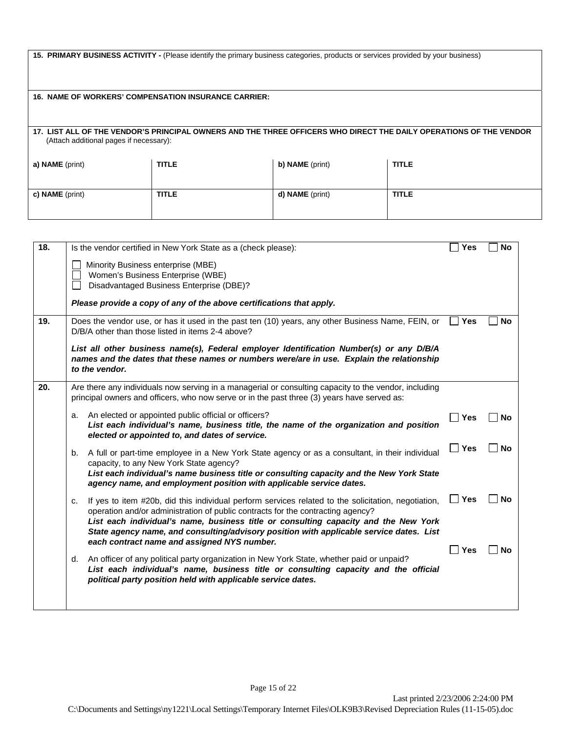| 15. PRIMARY BUSINESS ACTIVITY - (Please identify the primary business categories, products or services provided by your business)                             |              |                 |              |  |
|---------------------------------------------------------------------------------------------------------------------------------------------------------------|--------------|-----------------|--------------|--|
| <b>16. NAME OF WORKERS' COMPENSATION INSURANCE CARRIER:</b>                                                                                                   |              |                 |              |  |
| 17. LIST ALL OF THE VENDOR'S PRINCIPAL OWNERS AND THE THREE OFFICERS WHO DIRECT THE DAILY OPERATIONS OF THE VENDOR<br>(Attach additional pages if necessary): |              |                 |              |  |
| a) NAME (print)                                                                                                                                               | <b>TITLE</b> | b) NAME (print) | <b>TITLE</b> |  |
| c) NAME (print)                                                                                                                                               | <b>TITLE</b> | d) NAME (print) | <b>TITLE</b> |  |

| 18. | Is the vendor certified in New York State as a (check please):                                                                                                                                                                                         | Yes             | <b>No</b> |
|-----|--------------------------------------------------------------------------------------------------------------------------------------------------------------------------------------------------------------------------------------------------------|-----------------|-----------|
|     | Minority Business enterprise (MBE)                                                                                                                                                                                                                     |                 |           |
|     | Women's Business Enterprise (WBE)                                                                                                                                                                                                                      |                 |           |
|     | Disadvantaged Business Enterprise (DBE)?                                                                                                                                                                                                               |                 |           |
|     |                                                                                                                                                                                                                                                        |                 |           |
|     | Please provide a copy of any of the above certifications that apply.                                                                                                                                                                                   |                 |           |
| 19. | Does the vendor use, or has it used in the past ten (10) years, any other Business Name, FEIN, or<br>D/B/A other than those listed in items 2-4 above?                                                                                                 | Yes             | <b>No</b> |
|     | List all other business name(s), Federal employer Identification Number(s) or any D/B/A<br>names and the dates that these names or numbers were/are in use. Explain the relationship<br>to the vendor.                                                 |                 |           |
| 20. | Are there any individuals now serving in a managerial or consulting capacity to the vendor, including<br>principal owners and officers, who now serve or in the past three (3) years have served as:                                                   |                 |           |
|     | An elected or appointed public official or officers?<br>a.                                                                                                                                                                                             | $\sqsupset$ Yes | <b>No</b> |
|     | List each individual's name, business title, the name of the organization and position<br>elected or appointed to, and dates of service.                                                                                                               |                 |           |
|     | A full or part-time employee in a New York State agency or as a consultant, in their individual<br>b.<br>capacity, to any New York State agency?                                                                                                       | □ Yes           | <b>No</b> |
|     | List each individual's name business title or consulting capacity and the New York State<br>agency name, and employment position with applicable service dates.                                                                                        |                 |           |
|     | If yes to item #20b, did this individual perform services related to the solicitation, negotiation,<br>C.<br>operation and/or administration of public contracts for the contracting agency?                                                           | $\sqcap$ Yes    | Nο        |
|     | List each individual's name, business title or consulting capacity and the New York<br>State agency name, and consulting/advisory position with applicable service dates. List                                                                         |                 |           |
|     | each contract name and assigned NYS number.                                                                                                                                                                                                            | Yes             | No        |
|     | An officer of any political party organization in New York State, whether paid or unpaid?<br>d.<br>List each individual's name, business title or consulting capacity and the official<br>political party position held with applicable service dates. |                 |           |
|     |                                                                                                                                                                                                                                                        |                 |           |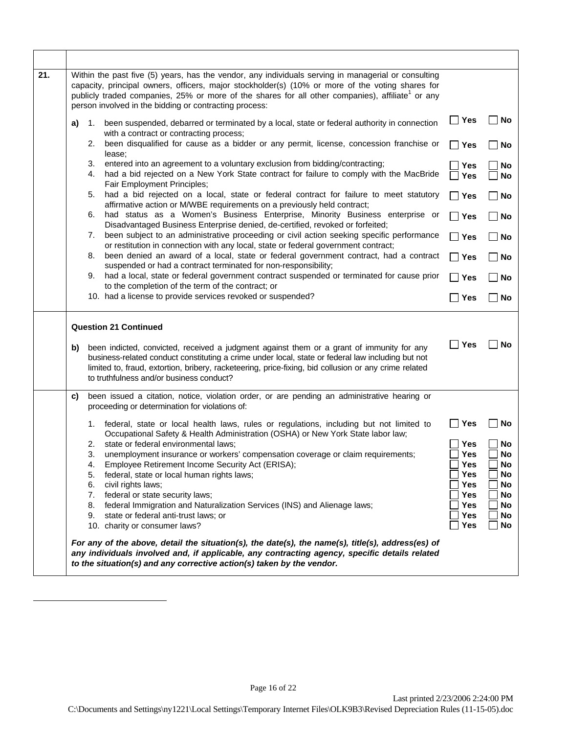| 21. | Within the past five (5) years, has the vendor, any individuals serving in managerial or consulting<br>capacity, principal owners, officers, major stockholder(s) (10% or more of the voting shares for<br>publicly traded companies, 25% or more of the shares for all other companies), affiliate <sup>1</sup> or any<br>person involved in the bidding or contracting process:                                                                                                                                                                                                                                                                                  |                                                                             |                                                          |
|-----|--------------------------------------------------------------------------------------------------------------------------------------------------------------------------------------------------------------------------------------------------------------------------------------------------------------------------------------------------------------------------------------------------------------------------------------------------------------------------------------------------------------------------------------------------------------------------------------------------------------------------------------------------------------------|-----------------------------------------------------------------------------|----------------------------------------------------------|
|     | 1. been suspended, debarred or terminated by a local, state or federal authority in connection<br>a)                                                                                                                                                                                                                                                                                                                                                                                                                                                                                                                                                               | ∣∣Yes                                                                       | ∣No                                                      |
|     | with a contract or contracting process;<br>been disqualified for cause as a bidder or any permit, license, concession franchise or<br>2.<br>lease;                                                                                                                                                                                                                                                                                                                                                                                                                                                                                                                 | $\Box$ Yes                                                                  | $\Box$ No                                                |
|     | entered into an agreement to a voluntary exclusion from bidding/contracting;<br>3.<br>had a bid rejected on a New York State contract for failure to comply with the MacBride<br>4.<br><b>Fair Employment Principles;</b>                                                                                                                                                                                                                                                                                                                                                                                                                                          | $\exists$ Yes<br>Yes                                                        | $\exists$ No<br>$\Box$ No                                |
|     | had a bid rejected on a local, state or federal contract for failure to meet statutory<br>5.<br>affirmative action or M/WBE requirements on a previously held contract;                                                                                                                                                                                                                                                                                                                                                                                                                                                                                            | $\Box$ Yes                                                                  | _∣ No                                                    |
|     | had status as a Women's Business Enterprise, Minority Business enterprise or<br>6.<br>Disadvantaged Business Enterprise denied, de-certified, revoked or forfeited;                                                                                                                                                                                                                                                                                                                                                                                                                                                                                                | $\blacksquare$ Yes                                                          | _∣ No                                                    |
|     | been subject to an administrative proceeding or civil action seeking specific performance<br>7.<br>or restitution in connection with any local, state or federal government contract;                                                                                                                                                                                                                                                                                                                                                                                                                                                                              | $\Box$ Yes                                                                  | $\Box$ No                                                |
|     | been denied an award of a local, state or federal government contract, had a contract<br>8.<br>suspended or had a contract terminated for non-responsibility;                                                                                                                                                                                                                                                                                                                                                                                                                                                                                                      | $\Box$ Yes                                                                  | $\Box$ No                                                |
|     | 9. had a local, state or federal government contract suspended or terminated for cause prior<br>to the completion of the term of the contract; or                                                                                                                                                                                                                                                                                                                                                                                                                                                                                                                  | l ∣Yes                                                                      | $\Box$ No                                                |
|     | 10. had a license to provide services revoked or suspended?                                                                                                                                                                                                                                                                                                                                                                                                                                                                                                                                                                                                        | ∐ Yes                                                                       | _  No                                                    |
|     | <b>Question 21 Continued</b><br>been indicted, convicted, received a judgment against them or a grant of immunity for any<br>b)<br>business-related conduct constituting a crime under local, state or federal law including but not<br>limited to, fraud, extortion, bribery, racketeering, price-fixing, bid collusion or any crime related<br>to truthfulness and/or business conduct?                                                                                                                                                                                                                                                                          | Yes                                                                         | No                                                       |
|     | been issued a citation, notice, violation order, or are pending an administrative hearing or<br>C)<br>proceeding or determination for violations of:                                                                                                                                                                                                                                                                                                                                                                                                                                                                                                               |                                                                             |                                                          |
|     | 1. federal, state or local health laws, rules or regulations, including but not limited to<br>Occupational Safety & Health Administration (OSHA) or New York State labor law;<br>state or federal environmental laws;<br>2.<br>unemployment insurance or workers' compensation coverage or claim requirements;<br>3.<br>Employee Retirement Income Security Act (ERISA);<br>4.<br>federal, state or local human rights laws;<br>5.<br>civil rights laws;<br>6.<br>7. federal or state security laws;<br>8. federal Immigration and Naturalization Services (INS) and Alienage laws;<br>state or federal anti-trust laws; or<br>9.<br>10. charity or consumer laws? | ∐ Yes<br><b>Yes</b><br>Yes<br>Yes<br>Yes<br>Yes<br>Yes<br>Yes<br>Yes<br>Yes | No<br>No<br>No<br>No<br>No<br>No<br>No<br>No<br>No<br>No |
|     |                                                                                                                                                                                                                                                                                                                                                                                                                                                                                                                                                                                                                                                                    |                                                                             |                                                          |

i<br>Li

Г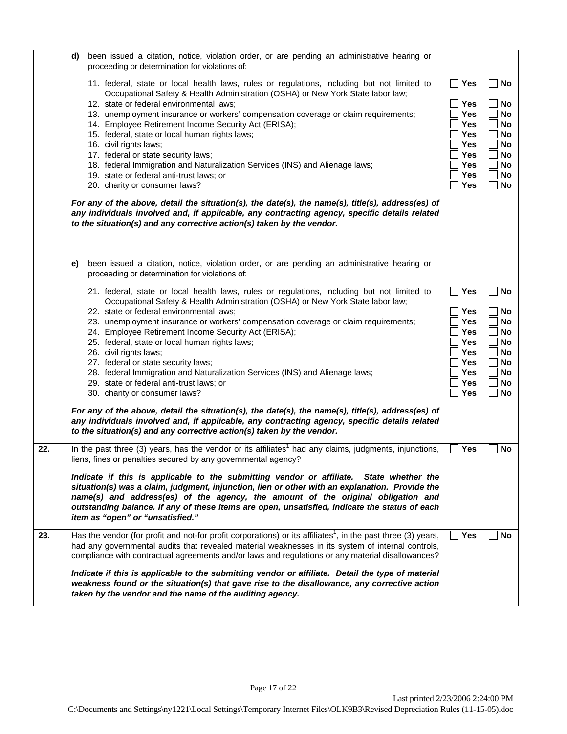|     | been issued a citation, notice, violation order, or are pending an administrative hearing or<br>d)<br>proceeding or determination for violations of:                                                                                                                                                                                                                                                                                                                                                                                                                                                                                                                                                                                                                                                                                                                                                                                     |                                                                                                |                                                                 |
|-----|------------------------------------------------------------------------------------------------------------------------------------------------------------------------------------------------------------------------------------------------------------------------------------------------------------------------------------------------------------------------------------------------------------------------------------------------------------------------------------------------------------------------------------------------------------------------------------------------------------------------------------------------------------------------------------------------------------------------------------------------------------------------------------------------------------------------------------------------------------------------------------------------------------------------------------------|------------------------------------------------------------------------------------------------|-----------------------------------------------------------------|
|     | 11. federal, state or local health laws, rules or regulations, including but not limited to<br>Occupational Safety & Health Administration (OSHA) or New York State labor law;<br>12. state or federal environmental laws;<br>13. unemployment insurance or workers' compensation coverage or claim requirements;<br>14. Employee Retirement Income Security Act (ERISA);<br>15. federal, state or local human rights laws;<br>16. civil rights laws;<br>17. federal or state security laws;<br>18. federal Immigration and Naturalization Services (INS) and Alienage laws;<br>19. state or federal anti-trust laws; or<br>20. charity or consumer laws?<br>For any of the above, detail the situation(s), the date(s), the name(s), title(s), address(es) of<br>any individuals involved and, if applicable, any contracting agency, specific details related<br>to the situation(s) and any corrective action(s) taken by the vendor. | ∣ ∣Yes<br>Yes<br>Yes<br><b>Yes</b><br>Yes<br>Yes<br><b>Yes</b><br>Yes<br>Yes<br>Yes            | <b>No</b><br>No<br>No<br>No<br>No<br>No<br>No<br>No<br>No<br>No |
|     | been issued a citation, notice, violation order, or are pending an administrative hearing or<br>e)<br>proceeding or determination for violations of:                                                                                                                                                                                                                                                                                                                                                                                                                                                                                                                                                                                                                                                                                                                                                                                     |                                                                                                |                                                                 |
|     | 21. federal, state or local health laws, rules or regulations, including but not limited to<br>Occupational Safety & Health Administration (OSHA) or New York State labor law;<br>22. state or federal environmental laws:<br>23. unemployment insurance or workers' compensation coverage or claim requirements;<br>24. Employee Retirement Income Security Act (ERISA);<br>25. federal, state or local human rights laws;<br>26. civil rights laws;<br>27. federal or state security laws;<br>28. federal Immigration and Naturalization Services (INS) and Alienage laws;<br>29. state or federal anti-trust laws; or<br>30. charity or consumer laws?<br>For any of the above, detail the situation(s), the date(s), the name(s), title(s), address(es) of<br>any individuals involved and, if applicable, any contracting agency, specific details related<br>to the situation(s) and any corrective action(s) taken by the vendor. | $\Box$ Yes<br>Yes<br>Yes<br><b>Yes</b><br>Yes<br><b>Yes</b><br>Yes<br><b>Yes</b><br>Yes<br>Yes | <b>No</b><br>No<br>No<br>No<br>No<br>No<br>No<br>No<br>No<br>No |
| 22. | In the past three (3) years, has the vendor or its affiliates <sup>1</sup> had any claims, judgments, injunctions,<br>liens, fines or penalties secured by any governmental agency?<br>Indicate if this is applicable to the submitting vendor or affiliate. State whether the<br>situation(s) was a claim, judgment, injunction, lien or other with an explanation. Provide the<br>name(s) and address(es) of the agency, the amount of the original obligation and<br>outstanding balance. If any of these items are open, unsatisfied, indicate the status of each<br>item as "open" or "unsatisfied."                                                                                                                                                                                                                                                                                                                                | Yes                                                                                            | No                                                              |
| 23. | Has the vendor (for profit and not-for profit corporations) or its affiliates <sup>1</sup> , in the past three (3) years,<br>had any governmental audits that revealed material weaknesses in its system of internal controls,<br>compliance with contractual agreements and/or laws and regulations or any material disallowances?<br>Indicate if this is applicable to the submitting vendor or affiliate. Detail the type of material<br>weakness found or the situation(s) that gave rise to the disallowance, any corrective action<br>taken by the vendor and the name of the auditing agency.                                                                                                                                                                                                                                                                                                                                     | Yes                                                                                            | No                                                              |

i<br>Li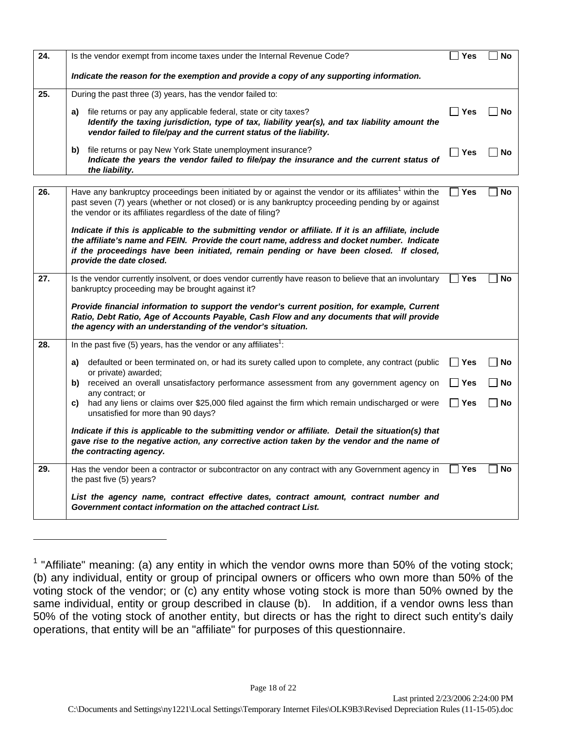| 24. | Is the vendor exempt from income taxes under the Internal Revenue Code?                                                                                                                                                                                                                                                  |            | <b>No</b> |
|-----|--------------------------------------------------------------------------------------------------------------------------------------------------------------------------------------------------------------------------------------------------------------------------------------------------------------------------|------------|-----------|
|     | Indicate the reason for the exemption and provide a copy of any supporting information.                                                                                                                                                                                                                                  |            |           |
| 25. | During the past three (3) years, has the vendor failed to:<br>file returns or pay any applicable federal, state or city taxes?<br>a)                                                                                                                                                                                     | <b>Yes</b> | No        |
|     | Identify the taxing jurisdiction, type of tax, liability year(s), and tax liability amount the<br>vendor failed to file/pay and the current status of the liability.                                                                                                                                                     |            |           |
|     | file returns or pay New York State unemployment insurance?<br>b)<br>Indicate the years the vendor failed to file/pay the insurance and the current status of<br>the liability.                                                                                                                                           | ∃ Yes      | <b>No</b> |
| 26. | Have any bankruptcy proceedings been initiated by or against the vendor or its affiliates <sup>1</sup> within the<br>past seven (7) years (whether or not closed) or is any bankruptcy proceeding pending by or against<br>the vendor or its affiliates regardless of the date of filing?                                | Yes        | <b>No</b> |
|     | Indicate if this is applicable to the submitting vendor or affiliate. If it is an affiliate, include<br>the affiliate's name and FEIN. Provide the court name, address and docket number. Indicate<br>if the proceedings have been initiated, remain pending or have been closed. If closed,<br>provide the date closed. |            |           |
| 27. | Is the vendor currently insolvent, or does vendor currently have reason to believe that an involuntary<br>bankruptcy proceeding may be brought against it?                                                                                                                                                               | Yes        | <b>No</b> |
|     | Provide financial information to support the vendor's current position, for example, Current<br>Ratio, Debt Ratio, Age of Accounts Payable, Cash Flow and any documents that will provide<br>the agency with an understanding of the vendor's situation.                                                                 |            |           |
| 28. | In the past five (5) years, has the vendor or any affiliates <sup>1</sup> :                                                                                                                                                                                                                                              |            |           |
|     | defaulted or been terminated on, or had its surety called upon to complete, any contract (public<br>a)<br>or private) awarded;                                                                                                                                                                                           | ∣ Yes      | l No      |
|     | received an overall unsatisfactory performance assessment from any government agency on<br>b)<br>any contract; or                                                                                                                                                                                                        | ∣ l Yes    | No        |
|     | had any liens or claims over \$25,000 filed against the firm which remain undischarged or were<br>C)<br>unsatisfied for more than 90 days?                                                                                                                                                                               | ΠYes       | <b>No</b> |
|     | Indicate if this is applicable to the submitting vendor or affiliate. Detail the situation(s) that<br>gave rise to the negative action, any corrective action taken by the vendor and the name of<br>the contracting agency.                                                                                             |            |           |
| 29. | Has the vendor been a contractor or subcontractor on any contract with any Government agency in<br>the past five (5) years?                                                                                                                                                                                              | $\Box$ Yes | <b>No</b> |
|     | List the agency name, contract effective dates, contract amount, contract number and<br>Government contact information on the attached contract List.                                                                                                                                                                    |            |           |

i<br>Li

<sup>&</sup>lt;sup>1</sup> "Affiliate" meaning: (a) any entity in which the vendor owns more than 50% of the voting stock; (b) any individual, entity or group of principal owners or officers who own more than 50% of the voting stock of the vendor; or (c) any entity whose voting stock is more than 50% owned by the same individual, entity or group described in clause (b). In addition, if a vendor owns less than 50% of the voting stock of another entity, but directs or has the right to direct such entity's daily operations, that entity will be an "affiliate" for purposes of this questionnaire.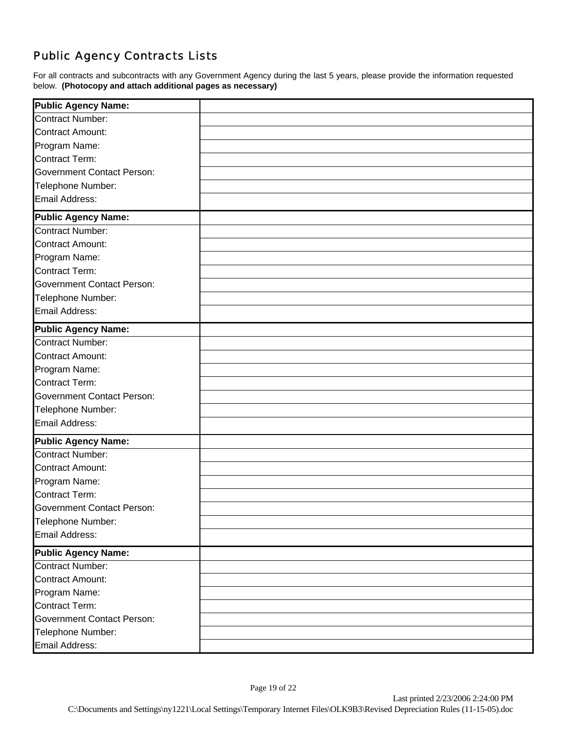## Public Agency Contracts Lists

For all contracts and subcontracts with any Government Agency during the last 5 years, please provide the information requested below. **(Photocopy and attach additional pages as necessary)**

| <b>Public Agency Name:</b>        |  |
|-----------------------------------|--|
| Contract Number:                  |  |
| <b>Contract Amount:</b>           |  |
| Program Name:                     |  |
| Contract Term:                    |  |
| <b>Government Contact Person:</b> |  |
| Telephone Number:                 |  |
| Email Address:                    |  |
| <b>Public Agency Name:</b>        |  |
| <b>Contract Number:</b>           |  |
| <b>Contract Amount:</b>           |  |
| Program Name:                     |  |
| Contract Term:                    |  |
| <b>Government Contact Person:</b> |  |
| Telephone Number:                 |  |
| Email Address:                    |  |
| <b>Public Agency Name:</b>        |  |
| <b>Contract Number:</b>           |  |
| <b>Contract Amount:</b>           |  |
| Program Name:                     |  |
| Contract Term:                    |  |
| <b>Government Contact Person:</b> |  |
| Telephone Number:                 |  |
| Email Address:                    |  |
| <b>Public Agency Name:</b>        |  |
| <b>Contract Number:</b>           |  |
| <b>Contract Amount:</b>           |  |
| Program Name:                     |  |
| <b>Contract Term:</b>             |  |
| <b>Government Contact Person:</b> |  |
| Telephone Number:                 |  |
| Email Address:                    |  |
| <b>Public Agency Name:</b>        |  |
| <b>Contract Number:</b>           |  |
| <b>Contract Amount:</b>           |  |
| Program Name:                     |  |
| <b>Contract Term:</b>             |  |
| <b>Government Contact Person:</b> |  |
| Telephone Number:                 |  |
| Email Address:                    |  |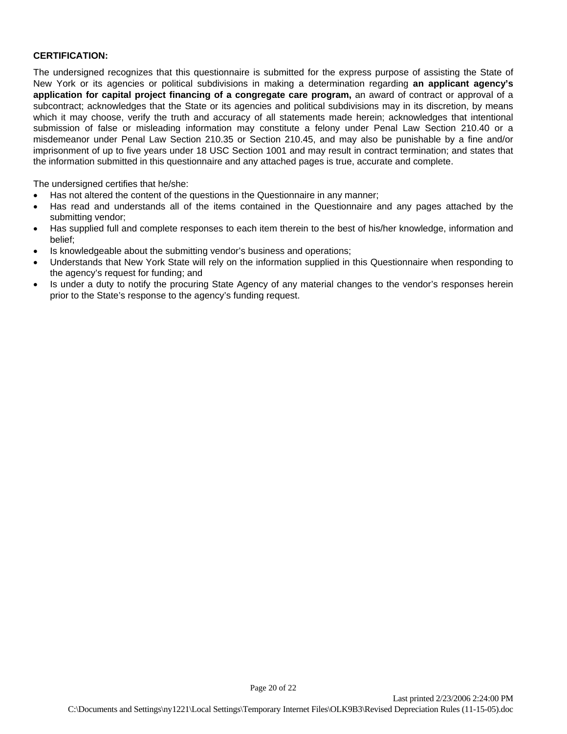#### **CERTIFICATION:**

The undersigned recognizes that this questionnaire is submitted for the express purpose of assisting the State of New York or its agencies or political subdivisions in making a determination regarding **an applicant agency's application for capital project financing of a congregate care program,** an award of contract or approval of a subcontract; acknowledges that the State or its agencies and political subdivisions may in its discretion, by means which it may choose, verify the truth and accuracy of all statements made herein; acknowledges that intentional submission of false or misleading information may constitute a felony under Penal Law Section 210.40 or a misdemeanor under Penal Law Section 210.35 or Section 210.45, and may also be punishable by a fine and/or imprisonment of up to five years under 18 USC Section 1001 and may result in contract termination; and states that the information submitted in this questionnaire and any attached pages is true, accurate and complete.

The undersigned certifies that he/she:

- Has not altered the content of the questions in the Questionnaire in any manner;
- Has read and understands all of the items contained in the Questionnaire and any pages attached by the submitting vendor;
- Has supplied full and complete responses to each item therein to the best of his/her knowledge, information and belief;
- Is knowledgeable about the submitting vendor's business and operations;
- Understands that New York State will rely on the information supplied in this Questionnaire when responding to the agency's request for funding; and
- Is under a duty to notify the procuring State Agency of any material changes to the vendor's responses herein prior to the State's response to the agency's funding request.

Page 20 of 22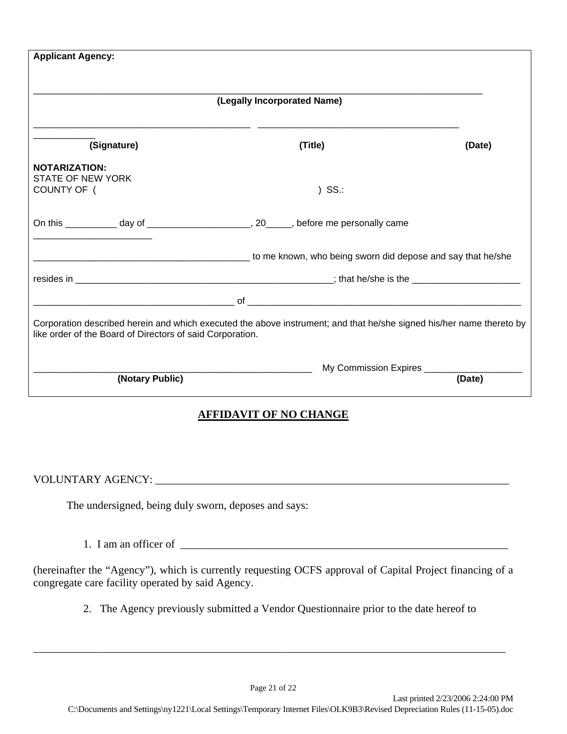| <b>Applicant Agency:</b>                                                                                                                                                                                                                                                                                |                             |                                            |
|---------------------------------------------------------------------------------------------------------------------------------------------------------------------------------------------------------------------------------------------------------------------------------------------------------|-----------------------------|--------------------------------------------|
|                                                                                                                                                                                                                                                                                                         |                             |                                            |
|                                                                                                                                                                                                                                                                                                         | (Legally Incorporated Name) |                                            |
| (Signature)                                                                                                                                                                                                                                                                                             | (Title)                     | (Date)                                     |
| <b>NOTARIZATION:</b><br>STATE OF NEW YORK<br>COUNTY OF (                                                                                                                                                                                                                                                | SS.:                        |                                            |
|                                                                                                                                                                                                                                                                                                         |                             |                                            |
| to me known, who being sworn did depose and say that he/she was allowed to me known, who being sworn did depose and say that he/she                                                                                                                                                                     |                             |                                            |
|                                                                                                                                                                                                                                                                                                         |                             |                                            |
| $\circ$ of $\circ$ and $\circ$ of $\circ$ and $\circ$ of $\circ$ and $\circ$ of $\circ$ and $\circ$ and $\circ$ and $\circ$ and $\circ$ and $\circ$ and $\circ$ and $\circ$ and $\circ$ and $\circ$ and $\circ$ and $\circ$ and $\circ$ and $\circ$ and $\circ$ and $\circ$ and $\circ$ and $\circ$ and |                             |                                            |
| Corporation described herein and which executed the above instrument; and that he/she signed his/her name thereto by<br>like order of the Board of Directors of said Corporation.                                                                                                                       |                             |                                            |
| (Notary Public)                                                                                                                                                                                                                                                                                         |                             | My Commission Expires __________<br>(Date) |

# **AFFIDAVIT OF NO CHANGE**

VOLUNTARY AGENCY: \_\_\_\_\_\_\_\_\_\_\_\_\_\_\_\_\_\_\_\_\_\_\_\_\_\_\_\_\_\_\_\_\_\_\_\_\_\_\_\_\_\_\_\_\_\_\_\_\_\_\_\_\_\_\_\_\_\_\_\_\_\_\_\_\_

The undersigned, being duly sworn, deposes and says:

1. I am an officer of  $\qquad \qquad$ 

(hereinafter the "Agency"), which is currently requesting OCFS approval of Capital Project financing of a congregate care facility operated by said Agency.

2. The Agency previously submitted a Vendor Questionnaire prior to the date hereof to

\_\_\_\_\_\_\_\_\_\_\_\_\_\_\_\_\_\_\_\_\_\_\_\_\_\_\_\_\_\_\_\_\_\_\_\_\_\_\_\_\_\_\_\_\_\_\_\_\_\_\_\_\_\_\_\_\_\_\_\_\_\_\_\_\_\_\_\_\_\_\_\_\_\_\_\_\_\_\_\_\_\_\_\_\_